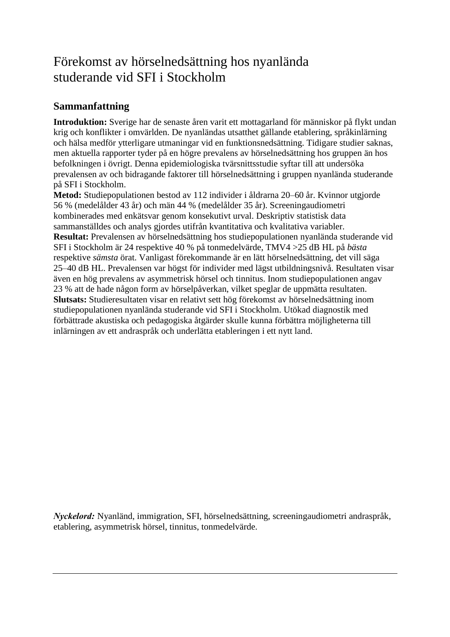## Förekomst av hörselnedsättning hos nyanlända studerande vid SFI i Stockholm

## **Sammanfattning**

**Introduktion:** Sverige har de senaste åren varit ett mottagarland för människor på flykt undan krig och konflikter i omvärlden. De nyanländas utsatthet gällande etablering, språkinlärning och hälsa medför ytterligare utmaningar vid en funktionsnedsättning. Tidigare studier saknas, men aktuella rapporter tyder på en högre prevalens av hörselnedsättning hos gruppen än hos befolkningen i övrigt. Denna epidemiologiska tvärsnittsstudie syftar till att undersöka prevalensen av och bidragande faktorer till hörselnedsättning i gruppen nyanlända studerande på SFI i Stockholm.

**Metod:** Studiepopulationen bestod av 112 individer i åldrarna 20–60 år. Kvinnor utgjorde 56 % (medelålder 43 år) och män 44 % (medelålder 35 år). Screeningaudiometri kombinerades med enkätsvar genom konsekutivt urval. Deskriptiv statistisk data sammanställdes och analys gjordes utifrån kvantitativa och kvalitativa variabler. **Resultat:** Prevalensen av hörselnedsättning hos studiepopulationen nyanlända studerande vid SFI i Stockholm är 24 respektive 40 % på tonmedelvärde, TMV4 >25 dB HL på *bästa* respektive *sämsta* örat. Vanligast förekommande är en lätt hörselnedsättning, det vill säga 25–40 dB HL. Prevalensen var högst för individer med lägst utbildningsnivå. Resultaten visar även en hög prevalens av asymmetrisk hörsel och tinnitus. Inom studiepopulationen angav 23 % att de hade någon form av hörselpåverkan, vilket speglar de uppmätta resultaten. **Slutsats:** Studieresultaten visar en relativt sett hög förekomst av hörselnedsättning inom studiepopulationen nyanlända studerande vid SFI i Stockholm. Utökad diagnostik med förbättrade akustiska och pedagogiska åtgärder skulle kunna förbättra möjligheterna till inlärningen av ett andraspråk och underlätta etableringen i ett nytt land.

*Nyckelord:* Nyanländ, immigration, SFI, hörselnedsättning, screeningaudiometri andraspråk, etablering, asymmetrisk hörsel, tinnitus, tonmedelvärde.